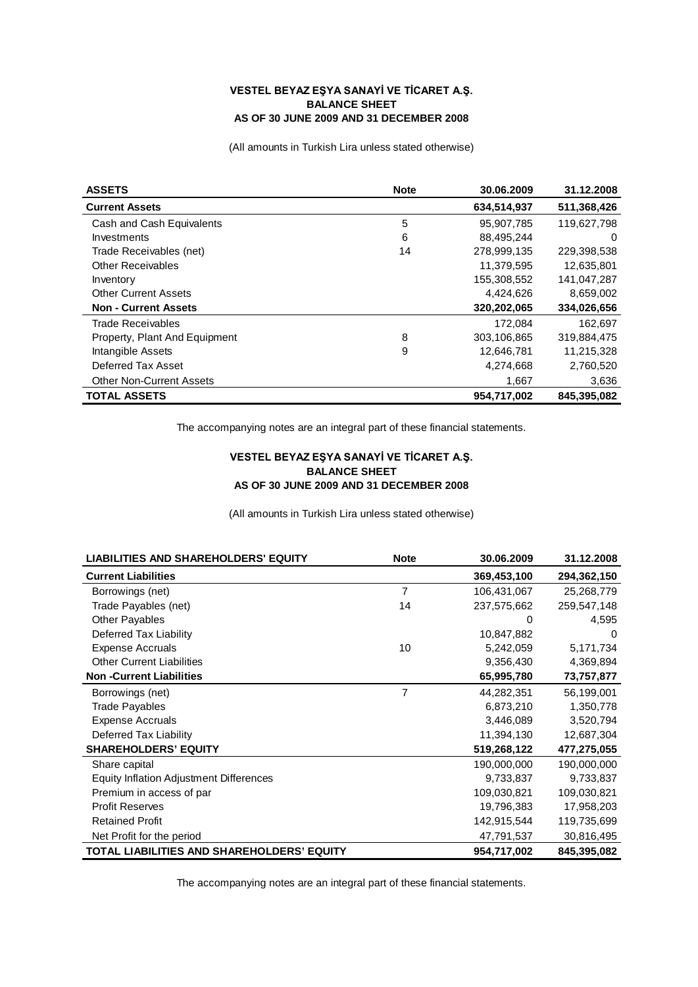## **VESTEL BEYAZ EŞYA SANAYİ VE TİCARET A.Ş. BALANCE SHEET AS OF 30 JUNE 2009 AND 31 DECEMBER 2008**

(All amounts in Turkish Lira unless stated otherwise)

| <b>ASSETS</b>                   | <b>Note</b> | 30.06.2009  | 31.12.2008  |
|---------------------------------|-------------|-------------|-------------|
| <b>Current Assets</b>           |             | 634,514,937 | 511,368,426 |
| Cash and Cash Equivalents       | 5           | 95,907,785  | 119,627,798 |
| Investments                     | 6           | 88,495,244  | 0           |
| Trade Receivables (net)         | 14          | 278,999,135 | 229,398,538 |
| <b>Other Receivables</b>        |             | 11,379,595  | 12,635,801  |
| Inventory                       |             | 155,308,552 | 141,047,287 |
| <b>Other Current Assets</b>     |             | 4,424,626   | 8,659,002   |
| <b>Non - Current Assets</b>     |             | 320,202,065 | 334,026,656 |
| Trade Receivables               |             | 172,084     | 162,697     |
| Property, Plant And Equipment   | 8           | 303,106,865 | 319,884,475 |
| Intangible Assets               | 9           | 12,646,781  | 11,215,328  |
| Deferred Tax Asset              |             | 4,274,668   | 2,760,520   |
| <b>Other Non-Current Assets</b> |             | 1,667       | 3,636       |
| <b>TOTAL ASSETS</b>             |             | 954.717.002 | 845,395,082 |

The accompanying notes are an integral part of these financial statements.

## **VESTEL BEYAZ EŞYA SANAYİ VE TİCARET A.Ş. BALANCE SHEET AS OF 30 JUNE 2009 AND 31 DECEMBER 2008**

(All amounts in Turkish Lira unless stated otherwise)

| <b>LIABILITIES AND SHAREHOLDERS' EQUITY</b>    | <b>Note</b>    | 30.06.2009  | 31.12.2008  |
|------------------------------------------------|----------------|-------------|-------------|
| <b>Current Liabilities</b>                     |                | 369,453,100 | 294,362,150 |
| Borrowings (net)                               | 7              | 106,431,067 | 25,268,779  |
| Trade Payables (net)                           | 14             | 237,575,662 | 259,547,148 |
| <b>Other Payables</b>                          |                | 0           | 4,595       |
| Deferred Tax Liability                         |                | 10,847,882  | $\Omega$    |
| <b>Expense Accruals</b>                        | 10             | 5,242,059   | 5,171,734   |
| <b>Other Current Liabilities</b>               |                | 9,356,430   | 4,369,894   |
| <b>Non-Current Liabilities</b>                 |                | 65,995,780  | 73,757,877  |
| Borrowings (net)                               | $\overline{7}$ | 44,282,351  | 56,199,001  |
| <b>Trade Payables</b>                          |                | 6,873,210   | 1,350,778   |
| <b>Expense Accruals</b>                        |                | 3,446,089   | 3,520,794   |
| Deferred Tax Liability                         |                | 11,394,130  | 12,687,304  |
| <b>SHAREHOLDERS' EQUITY</b>                    |                | 519,268,122 | 477,275,055 |
| Share capital                                  |                | 190,000,000 | 190,000,000 |
| <b>Equity Inflation Adjustment Differences</b> |                | 9,733,837   | 9,733,837   |
| Premium in access of par                       |                | 109,030,821 | 109,030,821 |
| <b>Profit Reserves</b>                         |                | 19,796,383  | 17,958,203  |
| <b>Retained Profit</b>                         |                | 142,915,544 | 119,735,699 |
| Net Profit for the period                      |                | 47,791,537  | 30,816,495  |
| TOTAL LIABILITIES AND SHAREHOLDERS' EQUITY     |                | 954,717,002 | 845,395,082 |

The accompanying notes are an integral part of these financial statements.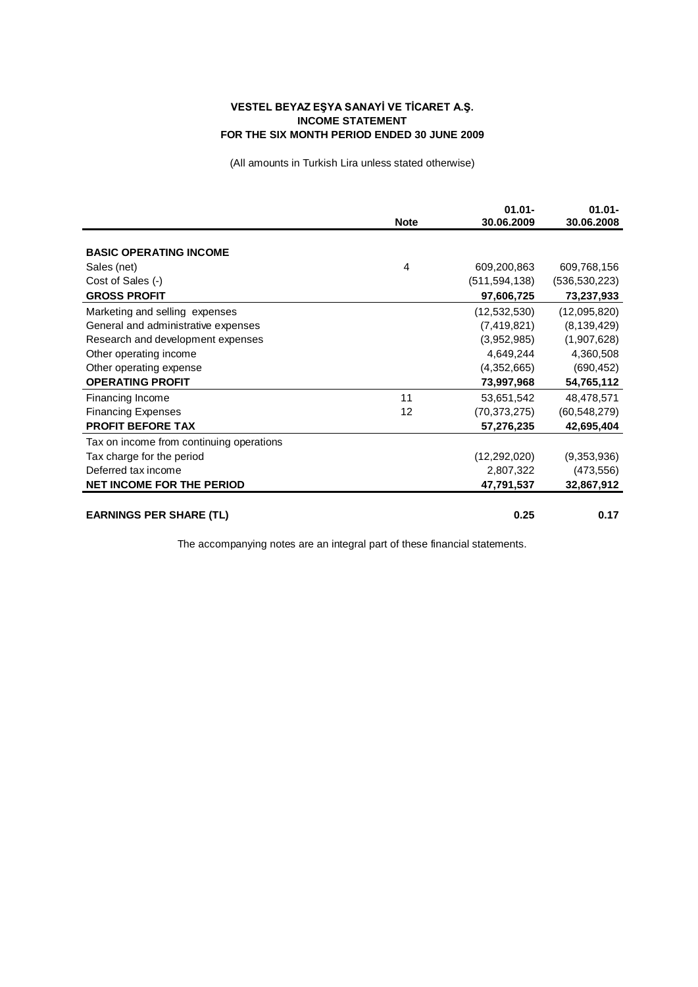## **VESTEL BEYAZ EŞYA SANAYİ VE TİCARET A.Ş. INCOME STATEMENT FOR THE SIX MONTH PERIOD ENDED 30 JUNE 2009**

(All amounts in Turkish Lira unless stated otherwise)

|                                          | <b>Note</b> | $01.01 -$<br>30.06.2009 | $01.01 -$<br>30.06.2008 |
|------------------------------------------|-------------|-------------------------|-------------------------|
|                                          |             |                         |                         |
| <b>BASIC OPERATING INCOME</b>            |             |                         |                         |
| Sales (net)                              | 4           | 609,200,863             | 609,768,156             |
| Cost of Sales (-)                        |             | (511, 594, 138)         | (536, 530, 223)         |
| <b>GROSS PROFIT</b>                      |             | 97,606,725              | 73,237,933              |
| Marketing and selling expenses           |             | (12, 532, 530)          | (12,095,820)            |
| General and administrative expenses      |             | (7, 419, 821)           | (8, 139, 429)           |
| Research and development expenses        |             | (3,952,985)             | (1,907,628)             |
| Other operating income                   |             | 4,649,244               | 4,360,508               |
| Other operating expense                  |             | (4,352,665)             | (690, 452)              |
| <b>OPERATING PROFIT</b>                  |             | 73,997,968              | 54,765,112              |
| Financing Income                         | 11          | 53,651,542              | 48,478,571              |
| <b>Financing Expenses</b>                | 12          | (70, 373, 275)          | (60, 548, 279)          |
| <b>PROFIT BEFORE TAX</b>                 |             | 57,276,235              | 42,695,404              |
| Tax on income from continuing operations |             |                         |                         |
| Tax charge for the period                |             | (12, 292, 020)          | (9,353,936)             |
| Deferred tax income                      |             | 2,807,322               | (473, 556)              |
| <b>NET INCOME FOR THE PERIOD</b>         |             | 47,791,537              | 32,867,912              |
| <b>EARNINGS PER SHARE (TL)</b>           |             | 0.25                    | 0.17                    |

The accompanying notes are an integral part of these financial statements.